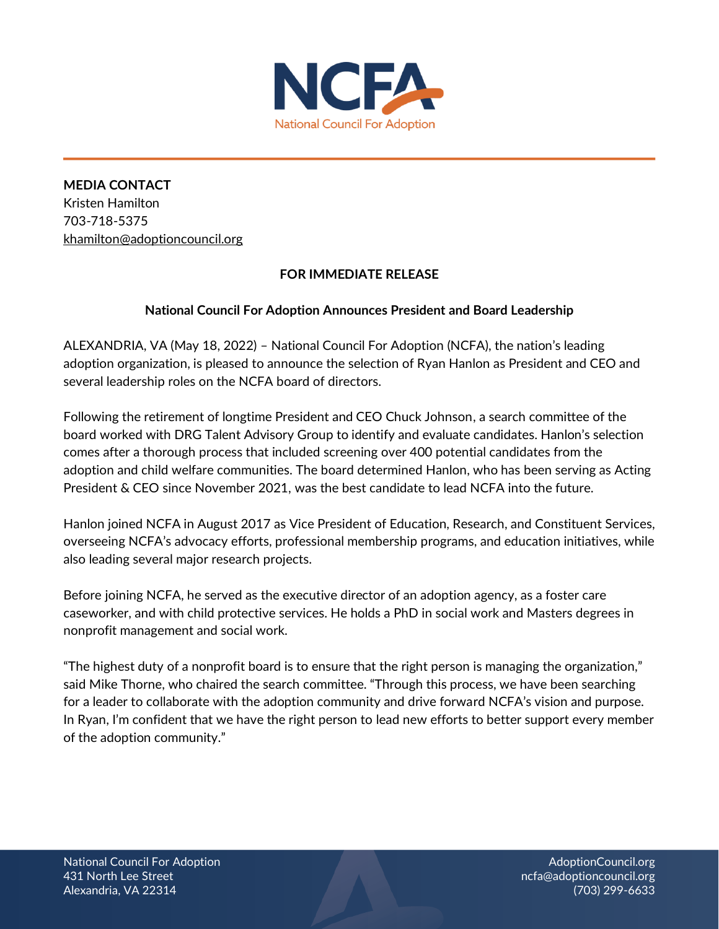

**MEDIA CONTACT**  Kristen Hamilton 703-718-5375 [khamilton@adoptioncouncil.org](mailto:khamilton@adoptioncouncil.org)

## **FOR IMMEDIATE RELEASE**

## **National Council For Adoption Announces President and Board Leadership**

ALEXANDRIA, VA (May 18, 2022) – National Council For Adoption (NCFA), the nation's leading adoption organization, is pleased to announce the selection of Ryan Hanlon as President and CEO and several leadership roles on the NCFA board of directors.

Following the retirement of longtime President and CEO Chuck Johnson, a search committee of the board worked with DRG Talent Advisory Group to identify and evaluate candidates. Hanlon's selection comes after a thorough process that included screening over 400 potential candidates from the adoption and child welfare communities. The board determined Hanlon, who has been serving as Acting President & CEO since November 2021, was the best candidate to lead NCFA into the future.

Hanlon joined NCFA in August 2017 as Vice President of Education, Research, and Constituent Services, overseeing NCFA's advocacy efforts, professional membership programs, and education initiatives, while also leading several major research projects.

Before joining NCFA, he served as the executive director of an adoption agency, as a foster care caseworker, and with child protective services. He holds a PhD in social work and Masters degrees in nonprofit management and social work.

"The highest duty of a nonprofit board is to ensure that the right person is managing the organization," said Mike Thorne, who chaired the search committee. "Through this process, we have been searching for a leader to collaborate with the adoption community and drive forward NCFA's vision and purpose. In Ryan, I'm confident that we have the right person to lead new efforts to better support every member of the adoption community."